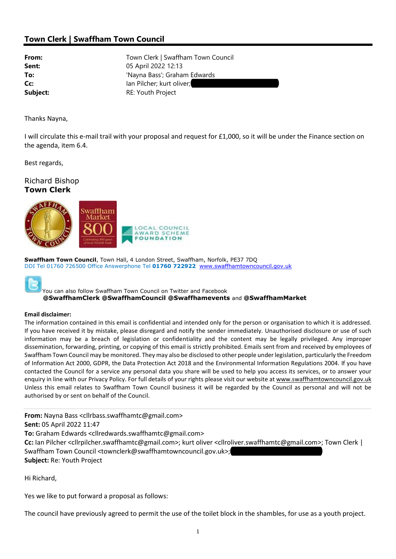## Town Clerk | Swaffham Town Council

From: Town Clerk | Swaffham Town Council **Sent:** 05 April 2022 12:13 To:  $\overline{a}$  'Nayna Bass'; Graham Edwards Cc: Ian Pilcher; kurt oliver; Subject: Subject: RE: Youth Project

Thanks Nayna,

I will circulate this e-mail trail with your proposal and request for £1,000, so it will be under the Finance section on the agenda, item 6.4.

Best regards,

Richard Bishop Town Clerk



Swaffham Town Council, Town Hall, 4 London Street, Swaffham, Norfolk, PE37 7DQ DDI Tel 01760 726500 Office Answerphone Tel 01760 722922 www.swaffhamtowncouncil.gov.uk



You can also follow Swaffham Town Council on Twitter and Facebook @SwaffhamClerk @SwaffhamCouncil @Swaffhamevents and @SwaffhamMarket

## Email disclaimer:

The information contained in this email is confidential and intended only for the person or organisation to which it is addressed. If you have received it by mistake, please disregard and notify the sender immediately. Unauthorised disclosure or use of such information may be a breach of legislation or confidentiality and the content may be legally privileged. Any improper dissemination, forwarding, printing, or copying of this email is strictly prohibited. Emails sent from and received by employees of Swaffham Town Council may be monitored. They may also be disclosed to other people under legislation, particularly the Freedom of Information Act 2000, GDPR, the Data Protection Act 2018 and the Environmental Information Regulations 2004. If you have contacted the Council for a service any personal data you share will be used to help you access its services, or to answer your enquiry in line with our Privacy Policy. For full details of your rights please visit our website at www.swaffhamtowncouncil.gov.uk Unless this email relates to Swaffham Town Council business it will be regarded by the Council as personal and will not be authorised by or sent on behalf of the Council.

From: Nayna Bass <cllrbass.swaffhamtc@gmail.com> Sent: 05 April 2022 11:47

To: Graham Edwards <cllredwards.swaffhamtc@gmail.com>

Cc: Ian Pilcher <cllrpilcher.swaffhamtc@gmail.com>; kurt oliver <cllroliver.swaffhamtc@gmail.com>; Town Clerk | Swaffham Town Council <townclerk@swaffhamtowncouncil.gov.uk>; Subject: Re: Youth Project

Hi Richard,

Yes we like to put forward a proposal as follows:

The council have previously agreed to permit the use of the toilet block in the shambles, for use as a youth project.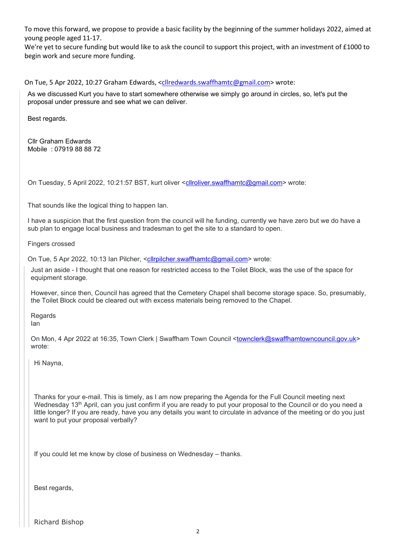To move this forward, we propose to provide a basic facility by the beginning of the summer holidays 2022, aimed at young people aged 11-17.

We're yet to secure funding but would like to ask the council to support this project, with an investment of £1000 to begin work and secure more funding.

On Tue, 5 Apr 2022, 10:27 Graham Edwards, <cllredwards.swaffhamtc@gmail.com> wrote:

As we discussed Kurt you have to start somewhere otherwise we simply go around in circles, so, let's put the proposal under pressure and see what we can deliver.

Best regards.

Cllr Graham Edwards Mobile : 07919 88 88 72

On Tuesday, 5 April 2022, 10:21:57 BST, kurt oliver <cllroliver.swaffhamtc@gmail.com> wrote:

That sounds like the logical thing to happen Ian.

I have a suspicion that the first question from the council will he funding, currently we have zero but we do have a sub plan to engage local business and tradesman to get the site to a standard to open.

Fingers crossed

On Tue, 5 Apr 2022, 10:13 Ian Pilcher, <cllrpilcher.swaffhamtc@gmail.com> wrote:

Just an aside - I thought that one reason for restricted access to the Toilet Block, was the use of the space for equipment storage.

However, since then, Council has agreed that the Cemetery Chapel shall become storage space. So, presumably, the Toilet Block could be cleared out with excess materials being removed to the Chapel.

Regards Ian

On Mon, 4 Apr 2022 at 16:35, Town Clerk | Swaffham Town Council <townclerk@swaffhamtowncouncil.gov.uk> wrote:

Hi Nayna,

Thanks for your e-mail. This is timely, as I am now preparing the Agenda for the Full Council meeting next Wednesday 13<sup>th</sup> April, can you just confirm if you are ready to put your proposal to the Council or do you need a little longer? If you are ready, have you any details you want to circulate in advance of the meeting or do you just want to put your proposal verbally?

If you could let me know by close of business on Wednesday – thanks.

Best regards,

Richard Bishop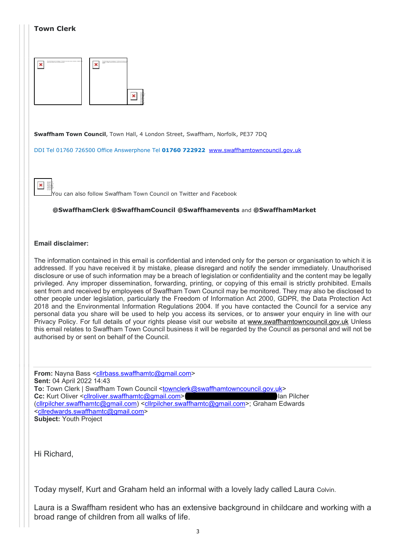